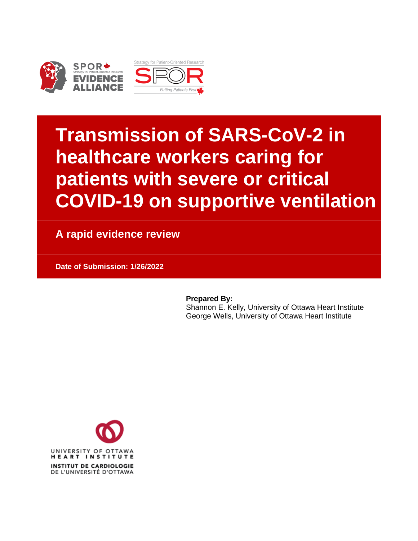

# **Transmission of SARS-CoV-2 in healthcare workers caring for patients with severe or critical COVID-19 on supportive ventilation**

**A rapid evidence review**

**Date of Submission: 1/26/2022**

**Prepared By:**

Shannon E. Kelly, University of Ottawa Heart Institute George Wells, University of Ottawa Heart Institute

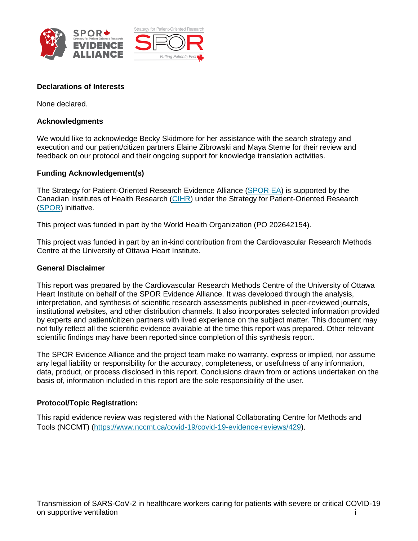



#### **Declarations of Interests**

None declared.

#### **Acknowledgments**

We would like to acknowledge Becky Skidmore for her assistance with the search strategy and execution and our patient/citizen partners Elaine Zibrowski and Maya Sterne for their review and feedback on our protocol and their ongoing support for knowledge translation activities.

#### **Funding Acknowledgement(s)**

The Strategy for Patient-Oriented Research Evidence Alliance [\(SPOR EA\)](http://www.sporevidencealliance.ca/) is supported by the Canadian Institutes of Health Research [\(CIHR\)](http://www.cihr-irsc.gc.ca/e/193.html) under the Strategy for Patient-Oriented Research [\(SPOR\)](http://www.cihr-irsc.gc.ca/e/41204.html) initiative.

This project was funded in part by the World Health Organization (PO 202642154).

This project was funded in part by an in-kind contribution from the Cardiovascular Research Methods Centre at the University of Ottawa Heart Institute.

#### **General Disclaimer**

This report was prepared by the Cardiovascular Research Methods Centre of the University of Ottawa Heart Institute on behalf of the SPOR Evidence Alliance. It was developed through the analysis, interpretation, and synthesis of scientific research assessments published in peer-reviewed journals, institutional websites, and other distribution channels. It also incorporates selected information provided by experts and patient/citizen partners with lived experience on the subject matter. This document may not fully reflect all the scientific evidence available at the time this report was prepared. Other relevant scientific findings may have been reported since completion of this synthesis report.

The SPOR Evidence Alliance and the project team make no warranty, express or implied, nor assume any legal liability or responsibility for the accuracy, completeness, or usefulness of any information, data, product, or process disclosed in this report. Conclusions drawn from or actions undertaken on the basis of, information included in this report are the sole responsibility of the user.

#### **Protocol/Topic Registration:**

This rapid evidence review was registered with the National Collaborating Centre for Methods and Tools (NCCMT) [\(https://www.nccmt.ca/covid-19/covid-19-evidence-reviews/429\)](https://www.nccmt.ca/covid-19/covid-19-evidence-reviews/429).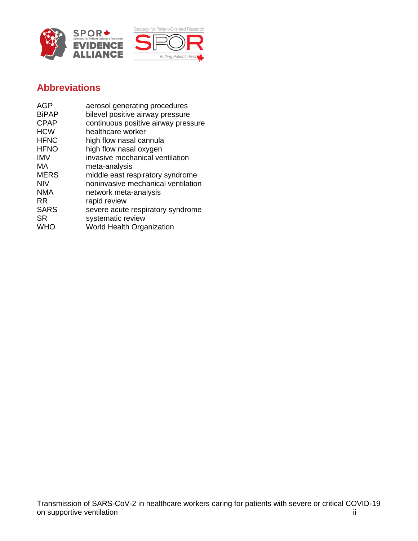



# **Abbreviations**

| <b>AGP</b>   | aerosol generating procedures       |
|--------------|-------------------------------------|
| <b>BiPAP</b> | bilevel positive airway pressure    |
| <b>CPAP</b>  | continuous positive airway pressure |
| <b>HCW</b>   | healthcare worker                   |
| <b>HFNC</b>  | high flow nasal cannula             |
| <b>HFNO</b>  | high flow nasal oxygen              |
| <b>IMV</b>   | invasive mechanical ventilation     |
| МA           | meta-analysis                       |
| <b>MERS</b>  | middle east respiratory syndrome    |
| <b>NIV</b>   | noninvasive mechanical ventilation  |
| <b>NMA</b>   | network meta-analysis               |
| RR.          | rapid review                        |
| <b>SARS</b>  | severe acute respiratory syndrome   |
| <b>SR</b>    | systematic review                   |
| <b>WHO</b>   | <b>World Health Organization</b>    |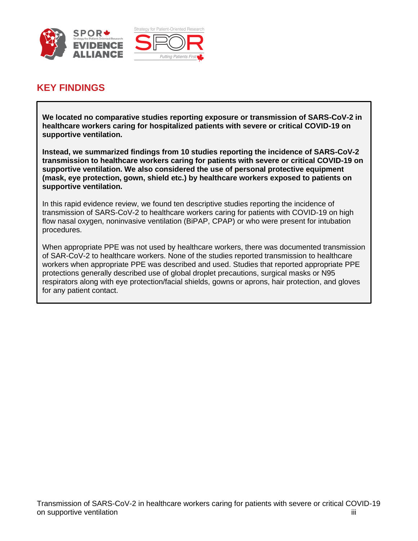



## **KEY FINDINGS**

**We located no comparative studies reporting exposure or transmission of SARS-CoV-2 in healthcare workers caring for hospitalized patients with severe or critical COVID-19 on supportive ventilation.** 

**Instead, we summarized findings from 10 studies reporting the incidence of SARS-CoV-2 transmission to healthcare workers caring for patients with severe or critical COVID-19 on supportive ventilation. We also considered the use of personal protective equipment (mask, eye protection, gown, shield etc.) by healthcare workers exposed to patients on supportive ventilation.** 

In this rapid evidence review, we found ten descriptive studies reporting the incidence of transmission of SARS-CoV-2 to healthcare workers caring for patients with COVID-19 on high flow nasal oxygen, noninvasive ventilation (BiPAP, CPAP) or who were present for intubation procedures.

When appropriate PPE was not used by healthcare workers, there was documented transmission of SAR-CoV-2 to healthcare workers. None of the studies reported transmission to healthcare workers when appropriate PPE was described and used. Studies that reported appropriate PPE protections generally described use of global droplet precautions, surgical masks or N95 respirators along with eye protection/facial shields, gowns or aprons, hair protection, and gloves for any patient contact.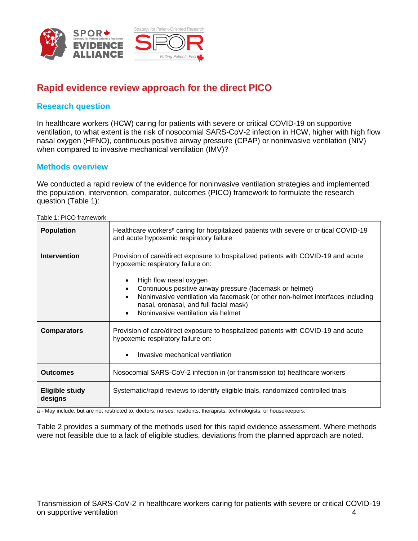



## **Rapid evidence review approach for the direct PICO**

## **Research question**

In healthcare workers (HCW) caring for patients with severe or critical COVID-19 on supportive ventilation, to what extent is the risk of nosocomial SARS-CoV-2 infection in HCW, higher with high flow nasal oxygen (HFNO), continuous positive airway pressure (CPAP) or noninvasive ventilation (NIV) when compared to invasive mechanical ventilation (IMV)?

### **Methods overview**

We conducted a rapid review of the evidence for noninvasive ventilation strategies and implemented the population, intervention, comparator, outcomes (PICO) framework to formulate the research question (Table 1):

Table 1: PICO framework

| <b>Population</b>         | Healthcare workers <sup>a</sup> caring for hospitalized patients with severe or critical COVID-19<br>and acute hypoxemic respiratory failure                                                                                                                                                                                                                                                                           |  |  |  |
|---------------------------|------------------------------------------------------------------------------------------------------------------------------------------------------------------------------------------------------------------------------------------------------------------------------------------------------------------------------------------------------------------------------------------------------------------------|--|--|--|
| <b>Intervention</b>       | Provision of care/direct exposure to hospitalized patients with COVID-19 and acute<br>hypoxemic respiratory failure on:<br>High flow nasal oxygen<br>Continuous positive airway pressure (facemask or helmet)<br>$\bullet$<br>Noninvasive ventilation via facemask (or other non-helmet interfaces including<br>$\bullet$<br>nasal, oronasal, and full facial mask)<br>Noninvasive ventilation via helmet<br>$\bullet$ |  |  |  |
| <b>Comparators</b>        | Provision of care/direct exposure to hospitalized patients with COVID-19 and acute<br>hypoxemic respiratory failure on:<br>Invasive mechanical ventilation<br>$\bullet$                                                                                                                                                                                                                                                |  |  |  |
| <b>Outcomes</b>           | Nosocomial SARS-CoV-2 infection in (or transmission to) healthcare workers                                                                                                                                                                                                                                                                                                                                             |  |  |  |
| Eligible study<br>designs | Systematic/rapid reviews to identify eligible trials, randomized controlled trials                                                                                                                                                                                                                                                                                                                                     |  |  |  |

a - May include, but are not restricted to, doctors, nurses, residents, therapists, technologists, or housekeepers.

Table 2 provides a summary of the methods used for this rapid evidence assessment. Where methods were not feasible due to a lack of eligible studies, deviations from the planned approach are noted.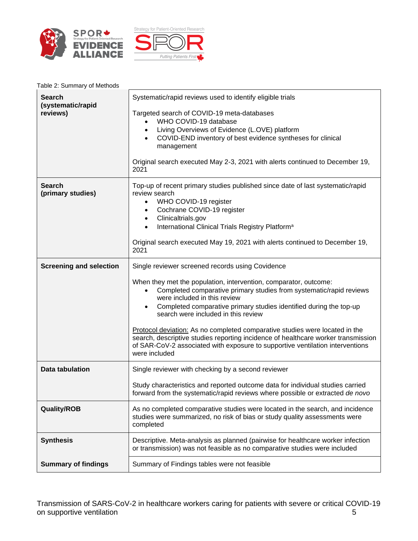



| Table 2: Summary of Methods |  |
|-----------------------------|--|
|-----------------------------|--|

| <b>Search</b><br>(systematic/rapid<br>reviews) | Systematic/rapid reviews used to identify eligible trials<br>Targeted search of COVID-19 meta-databases<br>WHO COVID-19 database<br>Living Overviews of Evidence (L.OVE) platform<br>$\bullet$<br>COVID-END inventory of best evidence syntheses for clinical<br>management<br>Original search executed May 2-3, 2021 with alerts continued to December 19,                                                                                                                                                                                                             |
|------------------------------------------------|-------------------------------------------------------------------------------------------------------------------------------------------------------------------------------------------------------------------------------------------------------------------------------------------------------------------------------------------------------------------------------------------------------------------------------------------------------------------------------------------------------------------------------------------------------------------------|
|                                                | 2021                                                                                                                                                                                                                                                                                                                                                                                                                                                                                                                                                                    |
| <b>Search</b><br>(primary studies)             | Top-up of recent primary studies published since date of last systematic/rapid<br>review search<br>WHO COVID-19 register<br>$\bullet$<br>Cochrane COVID-19 register<br>٠<br>Clinicaltrials.gov<br>$\bullet$<br>International Clinical Trials Registry Platform <sup>a</sup><br>Original search executed May 19, 2021 with alerts continued to December 19,                                                                                                                                                                                                              |
|                                                | 2021                                                                                                                                                                                                                                                                                                                                                                                                                                                                                                                                                                    |
| <b>Screening and selection</b>                 | Single reviewer screened records using Covidence                                                                                                                                                                                                                                                                                                                                                                                                                                                                                                                        |
|                                                | When they met the population, intervention, comparator, outcome:<br>Completed comparative primary studies from systematic/rapid reviews<br>were included in this review<br>Completed comparative primary studies identified during the top-up<br>$\bullet$<br>search were included in this review<br>Protocol deviation: As no completed comparative studies were located in the<br>search, descriptive studies reporting incidence of healthcare worker transmission<br>of SAR-CoV-2 associated with exposure to supportive ventilation interventions<br>were included |
| Data tabulation                                | Single reviewer with checking by a second reviewer                                                                                                                                                                                                                                                                                                                                                                                                                                                                                                                      |
|                                                | Study characteristics and reported outcome data for individual studies carried<br>forward from the systematic/rapid reviews where possible or extracted de novo                                                                                                                                                                                                                                                                                                                                                                                                         |
| <b>Quality/ROB</b>                             | As no completed comparative studies were located in the search, and incidence<br>studies were summarized, no risk of bias or study quality assessments were<br>completed                                                                                                                                                                                                                                                                                                                                                                                                |
| <b>Synthesis</b>                               | Descriptive. Meta-analysis as planned (pairwise for healthcare worker infection<br>or transmission) was not feasible as no comparative studies were included                                                                                                                                                                                                                                                                                                                                                                                                            |
| <b>Summary of findings</b>                     | Summary of Findings tables were not feasible                                                                                                                                                                                                                                                                                                                                                                                                                                                                                                                            |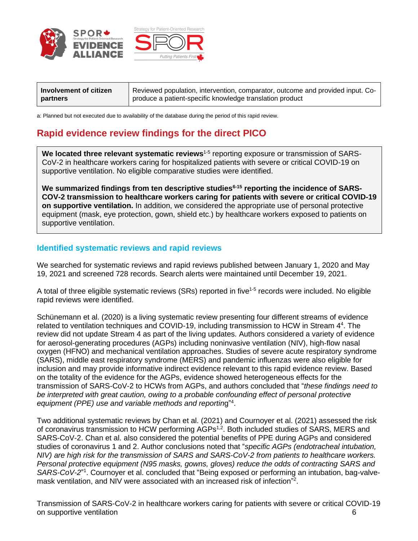



| Involvement of citizen | Reviewed population, intervention, comparator, outcome and provided input. Co- |
|------------------------|--------------------------------------------------------------------------------|
| partners               | produce a patient-specific knowledge translation product                       |

a: Planned but not executed due to availability of the database during the period of this rapid review.

## **Rapid evidence review findings for the direct PICO**

We located three relevant systematic reviews<sup>1-5</sup> reporting exposure or transmission of SARS-CoV-2 in healthcare workers caring for hospitalized patients with severe or critical COVID-19 on supportive ventilation. No eligible comparative studies were identified.

**We summarized findings from ten descriptive studies6-15 reporting the incidence of SARS-COV-2 transmission to healthcare workers caring for patients with severe or critical COVID-19 on supportive ventilation.** In addition, we considered the appropriate use of personal protective equipment (mask, eye protection, gown, shield etc.) by healthcare workers exposed to patients on supportive ventilation.

#### **Identified systematic reviews and rapid reviews**

We searched for systematic reviews and rapid reviews published between January 1, 2020 and May 19, 2021 and screened 728 records. Search alerts were maintained until December 19, 2021.

A total of three eligible systematic reviews (SRs) reported in five<sup>1-5</sup> records were included. No eligible rapid reviews were identified.

Schünemann et al. (2020) is a living systematic review presenting four different streams of evidence related to ventilation techniques and COVID-19, including transmission to HCW in Stream 4<sup>4</sup>. The review did not update Stream 4 as part of the living updates. Authors considered a variety of evidence for aerosol-generating procedures (AGPs) including noninvasive ventilation (NIV), high-flow nasal oxygen (HFNO) and mechanical ventilation approaches. Studies of severe acute respiratory syndrome (SARS), middle east respiratory syndrome (MERS) and pandemic influenzas were also eligible for inclusion and may provide informative indirect evidence relevant to this rapid evidence review. Based on the totality of the evidence for the AGPs, evidence showed heterogeneous effects for the transmission of SARS-CoV-2 to HCWs from AGPs, and authors concluded that "*these findings need to be interpreted with great caution, owing to a probable confounding effect of personal protective*  equipment (PPE) use and variable methods and reporting"<sup>4</sup>.

Two additional systematic reviews by Chan et al. (2021) and Cournoyer et al. (2021) assessed the risk of coronavirus transmission to HCW performing AGPs<sup>1,2</sup>. Both included studies of SARS, MERS and SARS-CoV-2. Chan et al. also considered the potential benefits of PPE during AGPs and considered studies of coronavirus 1 and 2. Author conclusions noted that "*specific AGPs (endotracheal intubation, NIV) are high risk for the transmission of SARS and SARS-CoV-2 from patients to healthcare workers. Personal protective equipment (N95 masks, gowns, gloves) reduce the odds of contracting SARS and*  SARS-CoV-2<sup>"1</sup>. Cournoyer et al. concluded that "Being exposed or performing an intubation, bag-valvemask ventilation, and NIV were associated with an increased risk of infection"<sup>2</sup>.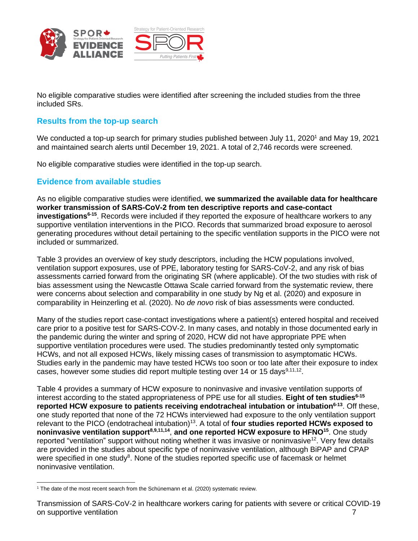



No eligible comparative studies were identified after screening the included studies from the three included SRs.

### **Results from the top-up search**

We conducted a top-up search for primary studies published between July 11, 2020<sup>1</sup> and May 19, 2021 and maintained search alerts until December 19, 2021. A total of 2,746 records were screened.

No eligible comparative studies were identified in the top-up search.

### **Evidence from available studies**

As no eligible comparative studies were identified, **we summarized the available data for healthcare worker transmission of SARS-CoV-2 from ten descriptive reports and case-contact investigations6-15** . Records were included if they reported the exposure of healthcare workers to any supportive ventilation interventions in the PICO. Records that summarized broad exposure to aerosol generating procedures without detail pertaining to the specific ventilation supports in the PICO were not included or summarized.

Table 3 provides an overview of key study descriptors, including the HCW populations involved, ventilation support exposures, use of PPE, laboratory testing for SARS-CoV-2, and any risk of bias assessments carried forward from the originating SR (where applicable). Of the two studies with risk of bias assessment using the Newcastle Ottawa Scale carried forward from the systematic review, there were concerns about selection and comparability in one study by Ng et al. (2020) and exposure in comparability in Heinzerling et al. (2020). No *de novo* risk of bias assessments were conducted.

Many of the studies report case-contact investigations where a patient(s) entered hospital and received care prior to a positive test for SARS-COV-2. In many cases, and notably in those documented early in the pandemic during the winter and spring of 2020, HCW did not have appropriate PPE when supportive ventilation procedures were used. The studies predominantly tested only symptomatic HCWs, and not all exposed HCWs, likely missing cases of transmission to asymptomatic HCWs. Studies early in the pandemic may have tested HCWs too soon or too late after their exposure to index cases, however some studies did report multiple testing over 14 or 15 days<sup>9,11,12</sup>.

Table 4 provides a summary of HCW exposure to noninvasive and invasive ventilation supports of interest according to the stated appropriateness of PPE use for all studies. **Eight of ten studies6-15 reported HCW exposure to patients receiving endotracheal intubation or intubation6-13**. Off these, one study reported that none of the 72 HCWs interviewed had exposure to the only ventilation support relevant to the PICO (endotracheal intubation)<sup>13</sup>. A total of **four studies reported HCWs exposed to noninvasive ventilation support8,9,11,14** , **and one reported HCW exposure to HFNO<sup>15</sup>** . One study reported "ventilation" support without noting whether it was invasive or noninvasive<sup>12</sup>. Very few details are provided in the studies about specific type of noninvasive ventilation, although BiPAP and CPAP were specified in one study<sup>8</sup>. None of the studies reported specific use of facemask or helmet noninvasive ventilation.

<sup>1</sup> The date of the most recent search from the Schünemann et al. (2020) systematic review.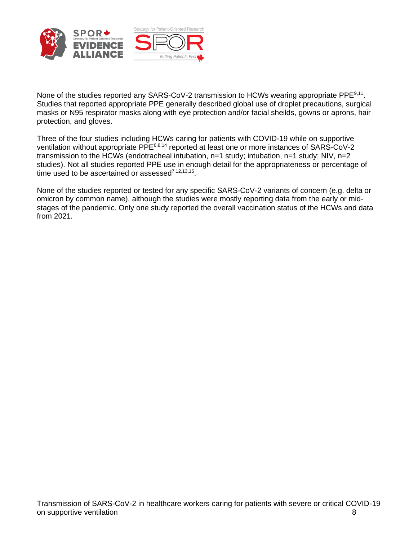



None of the studies reported any SARS-CoV-2 transmission to HCWs wearing appropriate PPE<sup>9,11</sup>. Studies that reported appropriate PPE generally described global use of droplet precautions, surgical masks or N95 respirator masks along with eye protection and/or facial sheilds, gowns or aprons, hair protection, and gloves.

Three of the four studies including HCWs caring for patients with COVID-19 while on supportive ventilation without appropriate PPE6,8,14 reported at least one or more instances of SARS-CoV-2 transmission to the HCWs (endotracheal intubation, n=1 study; intubation, n=1 study; NIV, n=2 studies). Not all studies reported PPE use in enough detail for the appropriateness or percentage of time used to be ascertained or assessed $^{7,12,13,15}$ .

None of the studies reported or tested for any specific SARS-CoV-2 variants of concern (e.g. delta or omicron by common name), although the studies were mostly reporting data from the early or midstages of the pandemic. Only one study reported the overall vaccination status of the HCWs and data from 2021.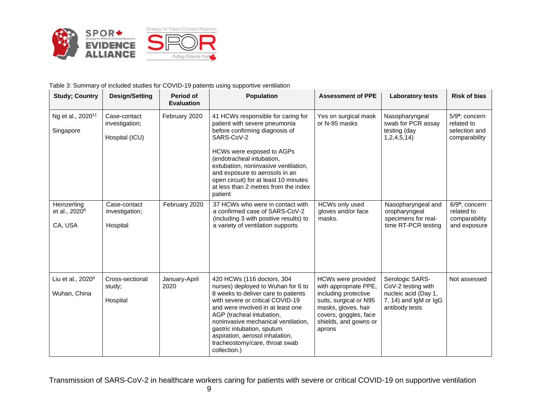

#### Table 3: Summary of included studies for COVID-19 patients using supportive ventilation

| <b>Study; Country</b>                               | <b>Design/Setting</b>                            | Period of<br><b>Evaluation</b> | <b>Population</b>                                                                                                                                                                                                                                                                                                                                                       | <b>Assessment of PPE</b>                                                                                                                                                                | <b>Laboratory tests</b>                                                                                  | <b>Risk of bias</b>                                                        |
|-----------------------------------------------------|--------------------------------------------------|--------------------------------|-------------------------------------------------------------------------------------------------------------------------------------------------------------------------------------------------------------------------------------------------------------------------------------------------------------------------------------------------------------------------|-----------------------------------------------------------------------------------------------------------------------------------------------------------------------------------------|----------------------------------------------------------------------------------------------------------|----------------------------------------------------------------------------|
| Ng et al., 2020 <sup>11</sup><br>Singapore          | Case-contact<br>investigation;<br>Hospital (ICU) | February 2020                  | 41 HCWs responsible for caring for<br>patient with severe pneumonia<br>before confirming diagnosis of<br>SARS-CoV-2<br>HCWs were exposed to AGPs<br>(endotracheal intubation,<br>extubation, noninvasive ventilation,<br>and exposure to aerosols in an<br>open circuit) for at least 10 minutes<br>at less than 2 metres from the index<br>patient                     | Yes on surgical mask<br>or N-95 masks                                                                                                                                                   | Nasopharyngeal<br>swab for PCR assay<br>testing (day<br>1,2,4,5,14                                       | 5/9 <sup>a</sup> ; concern<br>related to<br>selection and<br>comparability |
| Heinzerling<br>et al., 2020 <sup>8</sup><br>CA, USA | Case-contact<br>investigation;<br>Hospital       | February 2020                  | 37 HCWs who were in contact with<br>a confirmed case of SARS-CoV-2<br>(including 3 with positive results) to<br>a variety of ventilation supports                                                                                                                                                                                                                       | <b>HCWs only used</b><br>gloves and/or face<br>masks.                                                                                                                                   | Nasopharyngeal and<br>oropharyngeal<br>specimens for real-<br>time RT-PCR testing                        | $6/9a$ ; concern<br>related to<br>comparability<br>and exposure            |
| Liu et al., 2020 <sup>9</sup><br>Wuhan, China       | Cross-sectional<br>study;<br>Hospital            | January-April<br>2020          | 420 HCWs (116 doctors, 304<br>nurses) deployed to Wuhan for 6 to<br>8 weeks to deliver care to patients<br>with severe or critical COVID-19<br>and were involved in at least one<br>AGP (tracheal intubation,<br>noninvasive mechanical ventilation.<br>gastric intubation, sputum<br>aspiration, aerosol inhalation,<br>tracheostomy/care, throat swab<br>collection.) | <b>HCWs were provided</b><br>with appropriate PPE,<br>including protective<br>suits, surgical or N95<br>masks, gloves, hair<br>covers, goggles, face<br>shields, and gowns or<br>aprons | Serologic SARS-<br>CoV-2 testing with<br>nucleic acid (Day 1,<br>7, 14) and IgM or IgG<br>antibody tests | Not assessed                                                               |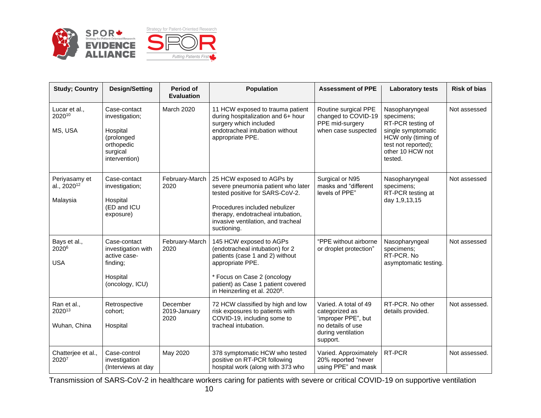

| <b>Study</b> ; Country                               | <b>Design/Setting</b>                                                                               | <b>Period of</b><br><b>Evaluation</b> | <b>Population</b>                                                                                                                                                                                                                   | <b>Assessment of PPE</b>                                                                                              | <b>Laboratory tests</b>                                                                                                                              | <b>Risk of bias</b> |
|------------------------------------------------------|-----------------------------------------------------------------------------------------------------|---------------------------------------|-------------------------------------------------------------------------------------------------------------------------------------------------------------------------------------------------------------------------------------|-----------------------------------------------------------------------------------------------------------------------|------------------------------------------------------------------------------------------------------------------------------------------------------|---------------------|
| Lucar et al.,<br>202010<br>MS, USA                   | Case-contact<br>investigation;<br>Hospital<br>(prolonged<br>orthopedic<br>surgical<br>intervention) | March 2020                            | 11 HCW exposed to trauma patient<br>during hospitalization and 6+ hour<br>surgery which included<br>endotracheal intubation without<br>appropriate PPE.                                                                             | Routine surgical PPE<br>changed to COVID-19<br>PPE mid-surgery<br>when case suspected                                 | Nasopharyngeal<br>specimens;<br>RT-PCR testing of<br>single symptomatic<br>HCW only (timing of<br>test not reported);<br>other 10 HCW not<br>tested. | Not assessed        |
| Periyasamy et<br>al., 2020 <sup>12</sup><br>Malaysia | Case-contact<br>investigation;<br>Hospital<br>(ED and ICU<br>exposure)                              | February-March<br>2020                | 25 HCW exposed to AGPs by<br>severe pneumonia patient who later<br>tested positive for SARS-CoV-2.<br>Procedures included nebulizer<br>therapy, endotracheal intubation,<br>invasive ventilation, and tracheal<br>suctioning.       | Surgical or N95<br>masks and "different<br>levels of PPE"                                                             | Nasopharyngeal<br>specimens;<br>RT-PCR testing at<br>day 1,9,13,15                                                                                   | Not assessed        |
| Bays et al.,<br>2020 <sup>6</sup><br><b>USA</b>      | Case-contact<br>investigation with<br>active case-<br>finding;<br>Hospital<br>(oncology, ICU)       | February-March<br>2020                | 145 HCW exposed to AGPs<br>(endotracheal intubation) for 2<br>patients (case 1 and 2) without<br>appropriate PPE.<br>* Focus on Case 2 (oncology<br>patient) as Case 1 patient covered<br>in Heinzerling et al. 2020 <sup>8</sup> . | "PPE without airborne<br>or droplet protection"                                                                       | Nasopharyngeal<br>specimens;<br>RT-PCR. No<br>asymptomatic testing.                                                                                  | Not assessed        |
| Ran et al.,<br>202013<br>Wuhan, China                | Retrospective<br>cohort;<br>Hospital                                                                | December<br>2019-January<br>2020      | 72 HCW classified by high and low<br>risk exposures to patients with<br>COVID-19, including some to<br>tracheal intubation.                                                                                                         | Varied. A total of 49<br>categorized as<br>'improper PPE", but<br>no details of use<br>during ventilation<br>support. | RT-PCR. No other<br>details provided.                                                                                                                | Not assessed.       |
| Chatterjee et al.,<br>20207                          | Case-control<br>investigation<br>(Interviews at day                                                 | May 2020                              | 378 symptomatic HCW who tested<br>positive on RT-PCR following<br>hospital work (along with 373 who                                                                                                                                 | Varied. Approximately<br>20% reported "never<br>using PPE" and mask                                                   | RT-PCR                                                                                                                                               | Not assessed.       |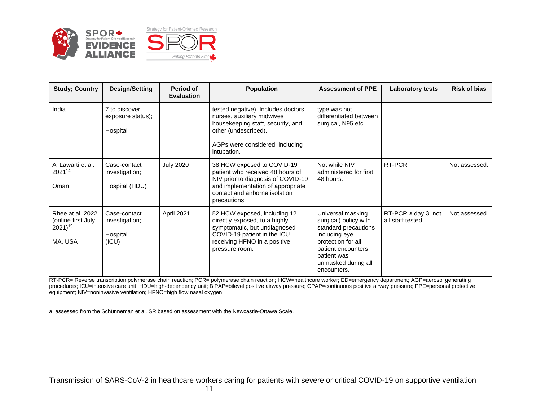

| <b>Study; Country</b>                                             | Design/Setting                                      | Period of<br><b>Evaluation</b> | <b>Population</b>                                                                                                                                                                           | <b>Assessment of PPE</b>                                                                                                                                                              | Laboratory tests                              | <b>Risk of bias</b> |
|-------------------------------------------------------------------|-----------------------------------------------------|--------------------------------|---------------------------------------------------------------------------------------------------------------------------------------------------------------------------------------------|---------------------------------------------------------------------------------------------------------------------------------------------------------------------------------------|-----------------------------------------------|---------------------|
| India                                                             | 7 to discover<br>exposure status);<br>Hospital      |                                | tested negative). Includes doctors,<br>nurses, auxiliary midwives<br>housekeeping staff, security, and<br>other (undescribed).<br>AGPs were considered, including<br>intubation.            | type was not<br>differentiated between<br>surgical, N95 etc.                                                                                                                          |                                               |                     |
| Al Lawarti et al.<br>202114<br>Oman                               | Case-contact<br>investigation;<br>Hospital (HDU)    | <b>July 2020</b>               | 38 HCW exposed to COVID-19<br>patient who received 48 hours of<br>NIV prior to diagnosis of COVID-19<br>and implementation of appropriate<br>contact and airborne isolation<br>precautions. | Not while NIV<br>administered for first<br>48 hours.                                                                                                                                  | RT-PCR                                        | Not assessed.       |
| Rhee at al. 2022<br>(online first July<br>$2021)^{15}$<br>MA, USA | Case-contact<br>investigation;<br>Hospital<br>(ICU) | April 2021                     | 52 HCW exposed, including 12<br>directly exposed, to a highly<br>symptomatic, but undiagnosed<br>COVID-19 patient in the ICU<br>receiving HFNO in a positive<br>pressure room.              | Universal masking<br>surgical) policy with<br>standard precautions<br>including eye<br>protection for all<br>patient encounters;<br>patient was<br>unmasked during all<br>encounters. | RT-PCR $\geq$ day 3, not<br>all staff tested. | Not assessed.       |

RT-PCR= Reverse transcription polymerase chain reaction; PCR= polymerase chain reaction; HCW=healthcare worker; ED=emergency department; AGP=aerosol generating procedures; ICU=intensive care unit; HDU=high-dependency unit; BiPAP=bilevel positive airway pressure; CPAP=continuous positive airway pressure; PPE=personal protective equipment; NIV=noninvasive ventilation; HFNO=high flow nasal oxygen

a: assessed from the Schünneman et al. SR based on assessment with the Newcastle-Ottawa Scale.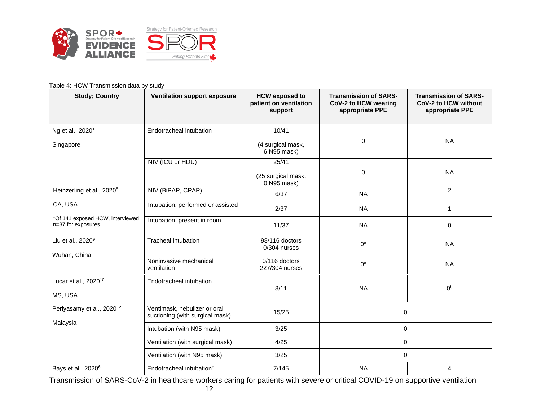

#### Table 4: HCW Transmission data by study

| <b>Study; Country</b>                                   | Ventilation support exposure                                    | <b>HCW</b> exposed to<br>patient on ventilation<br>support | <b>Transmission of SARS-</b><br>CoV-2 to HCW wearing<br>appropriate PPE | <b>Transmission of SARS-</b><br>CoV-2 to HCW without<br>appropriate PPE |
|---------------------------------------------------------|-----------------------------------------------------------------|------------------------------------------------------------|-------------------------------------------------------------------------|-------------------------------------------------------------------------|
| Ng et al., 2020 <sup>11</sup><br>Singapore              | Endotracheal intubation                                         | 10/41<br>(4 surgical mask,<br>6 N95 mask)                  | 0                                                                       | <b>NA</b>                                                               |
|                                                         | NIV (ICU or HDU)                                                | 25/41<br>(25 surgical mask,<br>0 N95 mask)                 | 0                                                                       | <b>NA</b>                                                               |
| Heinzerling et al., 2020 <sup>8</sup>                   | NIV (BiPAP, CPAP)                                               | 6/37                                                       | <b>NA</b>                                                               | $\overline{2}$                                                          |
| CA, USA                                                 | Intubation, performed or assisted                               | 2/37                                                       | <b>NA</b>                                                               | 1                                                                       |
| *Of 141 exposed HCW, interviewed<br>n=37 for exposures. | Intubation, present in room                                     | 11/37                                                      | <b>NA</b>                                                               | 0                                                                       |
| Liu et al., 2020 <sup>9</sup>                           | <b>Tracheal intubation</b>                                      | 98/116 doctors<br>0/304 nurses                             | $0^a$                                                                   | <b>NA</b>                                                               |
| Wuhan, China                                            | Noninvasive mechanical<br>ventilation                           | 0/116 doctors<br>227/304 nurses                            | $0^a$                                                                   | <b>NA</b>                                                               |
| Lucar et al., 2020 <sup>10</sup><br>MS, USA             | Endotracheal intubation                                         | 3/11                                                       | <b>NA</b>                                                               | 0 <sup>b</sup>                                                          |
| Periyasamy et al., 2020 <sup>12</sup>                   | Ventimask, nebulizer or oral<br>suctioning (with surgical mask) | 15/25                                                      | $\mathbf 0$                                                             |                                                                         |
| Malaysia                                                | Intubation (with N95 mask)                                      | 3/25                                                       | 0<br>0                                                                  |                                                                         |
|                                                         | Ventilation (with surgical mask)                                | 4/25                                                       |                                                                         |                                                                         |
|                                                         | Ventilation (with N95 mask)                                     | 3/25                                                       | $\mathbf 0$                                                             |                                                                         |
| Bays et al., 2020 <sup>6</sup>                          | Endotracheal intubation <sup>c</sup>                            | 7/145                                                      | <b>NA</b>                                                               | 4                                                                       |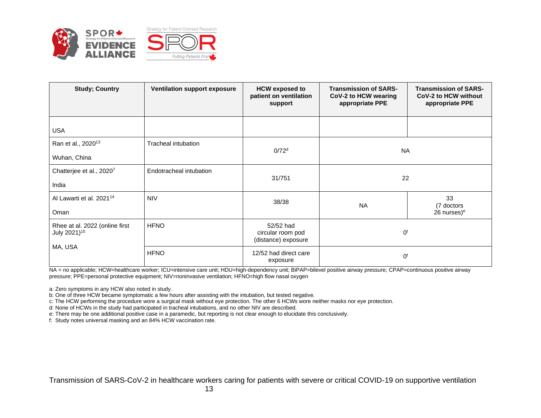

| <b>Study; Country</b>                                      | <b>Ventilation support exposure</b> | <b>HCW</b> exposed to<br>patient on ventilation<br>support | <b>Transmission of SARS-</b><br>CoV-2 to HCW wearing<br>appropriate PPE | <b>Transmission of SARS-</b><br>CoV-2 to HCW without<br>appropriate PPE |  |
|------------------------------------------------------------|-------------------------------------|------------------------------------------------------------|-------------------------------------------------------------------------|-------------------------------------------------------------------------|--|
| <b>USA</b>                                                 |                                     |                                                            |                                                                         |                                                                         |  |
| Ran et al., 2020 <sup>13</sup><br>Wuhan, China             | Tracheal intubation                 | 0/72 <sup>d</sup>                                          | <b>NA</b>                                                               |                                                                         |  |
| Chatterjee et al., 20207<br>India                          | Endotracheal intubation             | 31/751                                                     | 22                                                                      |                                                                         |  |
| Al Lawarti et al. 2021 <sup>14</sup><br>Oman               | <b>NIV</b>                          | 38/38                                                      | <b>NA</b>                                                               | 33<br>(7 doctors<br>$26$ nurses) <sup>e</sup>                           |  |
| Rhee at al. 2022 (online first<br>July 2021) <sup>15</sup> | <b>HFNO</b>                         | 52/52 had<br>circular room pod<br>(distance) exposure      | 0 <sup>f</sup>                                                          |                                                                         |  |
| MA, USA                                                    | <b>HFNO</b>                         | 12/52 had direct care<br>exposure                          | 0 <sup>f</sup>                                                          |                                                                         |  |

NA = no applicable; HCW=healthcare worker; ICU=intensive care unit; HDU=high-dependency unit; BiPAP=bilevel positive airway pressure; CPAP=continuous positive airway pressure; PPE=personal protective equipment; NIV=noninvasive ventilation; HFNO=high flow nasal oxygen

a: Zero symptoms in any HCW also noted in study.

b: One of three HCW became symptomatic a few hours after assisting with the intubation, but tested negative.

c: The HCW performing the procedure wore a surgical mask without eye protection. The other 6 HCWs wore neither masks nor eye protection.

d: None of HCWs in the study had participated in tracheal intubations, and no other NIV are described.

e: There may be one additional positive case in a paramedic, but reporting is not clear enough to elucidate this conclusively.

f: Study notes universal masking and an 84% HCW vaccination rate.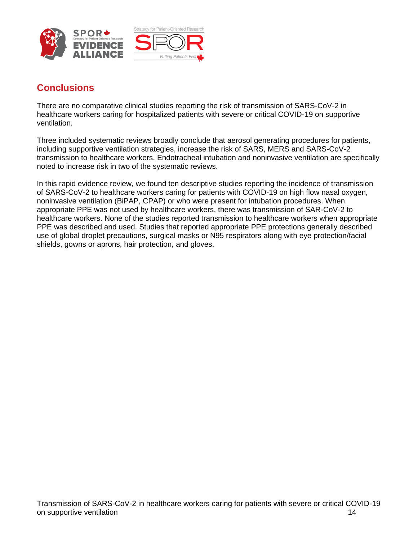



## **Conclusions**

There are no comparative clinical studies reporting the risk of transmission of SARS-CoV-2 in healthcare workers caring for hospitalized patients with severe or critical COVID-19 on supportive ventilation.

Three included systematic reviews broadly conclude that aerosol generating procedures for patients, including supportive ventilation strategies, increase the risk of SARS, MERS and SARS-CoV-2 transmission to healthcare workers. Endotracheal intubation and noninvasive ventilation are specifically noted to increase risk in two of the systematic reviews.

In this rapid evidence review, we found ten descriptive studies reporting the incidence of transmission of SARS-CoV-2 to healthcare workers caring for patients with COVID-19 on high flow nasal oxygen, noninvasive ventilation (BiPAP, CPAP) or who were present for intubation procedures. When appropriate PPE was not used by healthcare workers, there was transmission of SAR-CoV-2 to healthcare workers. None of the studies reported transmission to healthcare workers when appropriate PPE was described and used. Studies that reported appropriate PPE protections generally described use of global droplet precautions, surgical masks or N95 respirators along with eye protection/facial shields, gowns or aprons, hair protection, and gloves.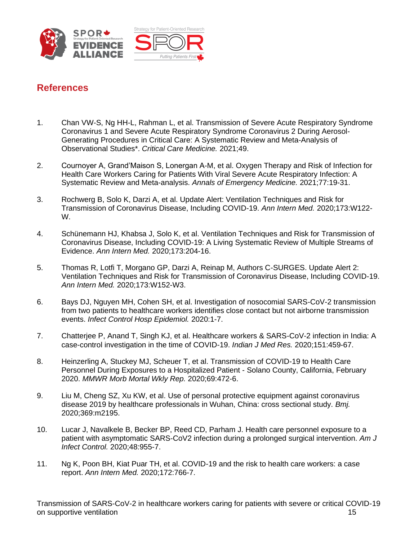



## **References**

- 1. Chan VW-S, Ng HH-L, Rahman L, et al. Transmission of Severe Acute Respiratory Syndrome Coronavirus 1 and Severe Acute Respiratory Syndrome Coronavirus 2 During Aerosol-Generating Procedures in Critical Care: A Systematic Review and Meta-Analysis of Observational Studies\*. *Critical Care Medicine.* 2021;49.
- 2. Cournoyer A, Grand'Maison S, Lonergan A-M, et al. Oxygen Therapy and Risk of Infection for Health Care Workers Caring for Patients With Viral Severe Acute Respiratory Infection: A Systematic Review and Meta-analysis. *Annals of Emergency Medicine.* 2021;77:19-31.
- 3. Rochwerg B, Solo K, Darzi A, et al. Update Alert: Ventilation Techniques and Risk for Transmission of Coronavirus Disease, Including COVID-19. *Ann Intern Med.* 2020;173:W122- W.
- 4. Schünemann HJ, Khabsa J, Solo K, et al. Ventilation Techniques and Risk for Transmission of Coronavirus Disease, Including COVID-19: A Living Systematic Review of Multiple Streams of Evidence. *Ann Intern Med.* 2020;173:204-16.
- 5. Thomas R, Lotfi T, Morgano GP, Darzi A, Reinap M, Authors C-SURGES. Update Alert 2: Ventilation Techniques and Risk for Transmission of Coronavirus Disease, Including COVID-19. *Ann Intern Med.* 2020;173:W152-W3.
- 6. Bays DJ, Nguyen MH, Cohen SH, et al. Investigation of nosocomial SARS-CoV-2 transmission from two patients to healthcare workers identifies close contact but not airborne transmission events. *Infect Control Hosp Epidemiol.* 2020:1-7.
- 7. Chatterjee P, Anand T, Singh KJ, et al. Healthcare workers & SARS-CoV-2 infection in India: A case-control investigation in the time of COVID-19. *Indian J Med Res.* 2020;151:459-67.
- 8. Heinzerling A, Stuckey MJ, Scheuer T, et al. Transmission of COVID-19 to Health Care Personnel During Exposures to a Hospitalized Patient - Solano County, California, February 2020. *MMWR Morb Mortal Wkly Rep.* 2020;69:472-6.
- 9. Liu M, Cheng SZ, Xu KW, et al. Use of personal protective equipment against coronavirus disease 2019 by healthcare professionals in Wuhan, China: cross sectional study. *Bmj.*  2020;369:m2195.
- 10. Lucar J, Navalkele B, Becker BP, Reed CD, Parham J. Health care personnel exposure to a patient with asymptomatic SARS-CoV2 infection during a prolonged surgical intervention. *Am J Infect Control.* 2020;48:955-7.
- 11. Ng K, Poon BH, Kiat Puar TH, et al. COVID-19 and the risk to health care workers: a case report. *Ann Intern Med.* 2020;172:766-7.